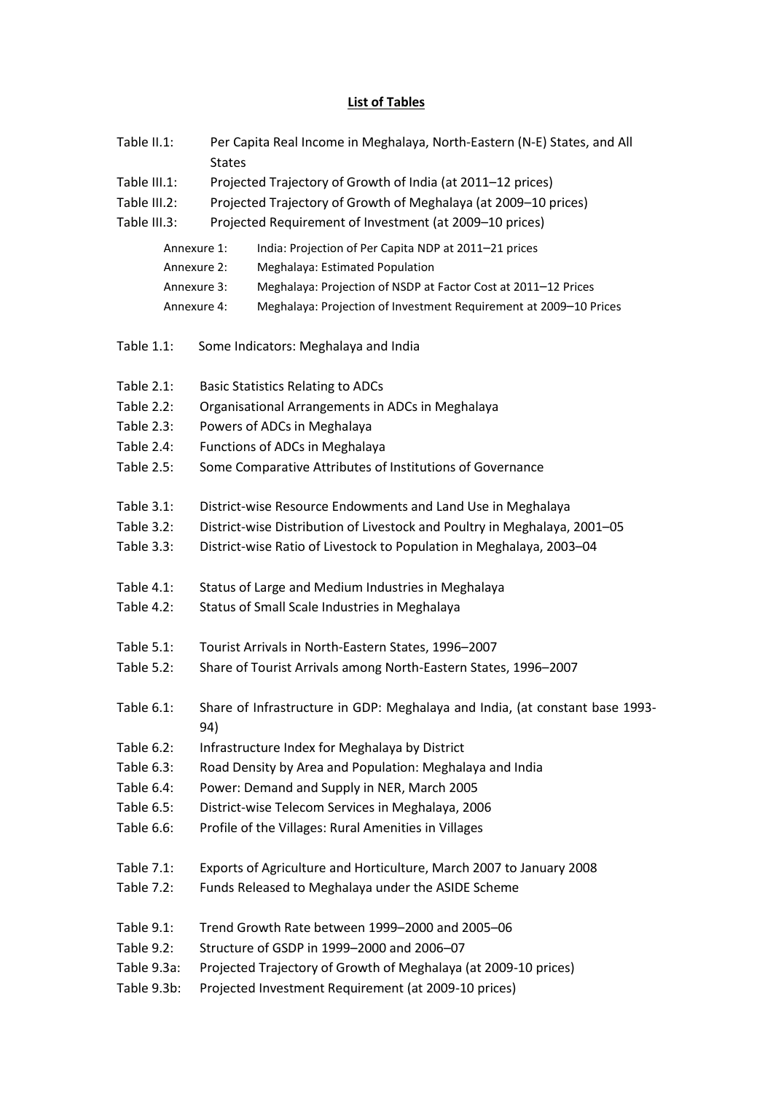## **List of Tables**

| Table II.1:                | Per Capita Real Income in Meghalaya, North-Eastern (N-E) States, and All<br><b>States</b> |                                                                                                                                     |  |
|----------------------------|-------------------------------------------------------------------------------------------|-------------------------------------------------------------------------------------------------------------------------------------|--|
| Table III.1:               | Projected Trajectory of Growth of India (at 2011-12 prices)                               |                                                                                                                                     |  |
| Table III.2:               |                                                                                           | Projected Trajectory of Growth of Meghalaya (at 2009-10 prices)                                                                     |  |
| Table III.3:               |                                                                                           | Projected Requirement of Investment (at 2009-10 prices)                                                                             |  |
| Annexure 1:                |                                                                                           | India: Projection of Per Capita NDP at 2011-21 prices                                                                               |  |
| Annexure 2:                |                                                                                           | Meghalaya: Estimated Population                                                                                                     |  |
| Annexure 3:<br>Annexure 4: |                                                                                           | Meghalaya: Projection of NSDP at Factor Cost at 2011-12 Prices<br>Meghalaya: Projection of Investment Requirement at 2009-10 Prices |  |
|                            |                                                                                           |                                                                                                                                     |  |
| Table 1.1:                 |                                                                                           | Some Indicators: Meghalaya and India                                                                                                |  |
| Table 2.1:                 |                                                                                           | <b>Basic Statistics Relating to ADCs</b>                                                                                            |  |
| Table 2.2:                 |                                                                                           | Organisational Arrangements in ADCs in Meghalaya                                                                                    |  |
| Table 2.3:                 | Powers of ADCs in Meghalaya                                                               |                                                                                                                                     |  |
| Table 2.4:                 | Functions of ADCs in Meghalaya                                                            |                                                                                                                                     |  |
| Table 2.5:                 | Some Comparative Attributes of Institutions of Governance                                 |                                                                                                                                     |  |
| Table 3.1:                 | District-wise Resource Endowments and Land Use in Meghalaya                               |                                                                                                                                     |  |
| Table 3.2:                 | District-wise Distribution of Livestock and Poultry in Meghalaya, 2001-05                 |                                                                                                                                     |  |
| Table 3.3:                 |                                                                                           | District-wise Ratio of Livestock to Population in Meghalaya, 2003-04                                                                |  |
| Table 4.1:                 |                                                                                           | Status of Large and Medium Industries in Meghalaya                                                                                  |  |
| Table 4.2:                 |                                                                                           | Status of Small Scale Industries in Meghalaya                                                                                       |  |
| Table 5.1:                 |                                                                                           | Tourist Arrivals in North-Eastern States, 1996-2007                                                                                 |  |
| Table 5.2:                 |                                                                                           | Share of Tourist Arrivals among North-Eastern States, 1996-2007                                                                     |  |
| Table 6.1:                 | Share of Infrastructure in GDP: Meghalaya and India, (at constant base 1993-<br>94)       |                                                                                                                                     |  |
| Table 6.2:                 |                                                                                           | Infrastructure Index for Meghalaya by District                                                                                      |  |
| Table 6.3:                 | Road Density by Area and Population: Meghalaya and India                                  |                                                                                                                                     |  |
| Table 6.4:                 | Power: Demand and Supply in NER, March 2005                                               |                                                                                                                                     |  |
| Table 6.5:                 | District-wise Telecom Services in Meghalaya, 2006                                         |                                                                                                                                     |  |
| Table 6.6:                 |                                                                                           | Profile of the Villages: Rural Amenities in Villages                                                                                |  |
| Table 7.1:                 | Exports of Agriculture and Horticulture, March 2007 to January 2008                       |                                                                                                                                     |  |
| Table 7.2:                 | Funds Released to Meghalaya under the ASIDE Scheme                                        |                                                                                                                                     |  |
| Table 9.1:                 |                                                                                           | Trend Growth Rate between 1999-2000 and 2005-06                                                                                     |  |
| Table 9.2:                 | Structure of GSDP in 1999-2000 and 2006-07                                                |                                                                                                                                     |  |
| Table 9.3a:                | Projected Trajectory of Growth of Meghalaya (at 2009-10 prices)                           |                                                                                                                                     |  |
| Table 9.3b:                | Projected Investment Requirement (at 2009-10 prices)                                      |                                                                                                                                     |  |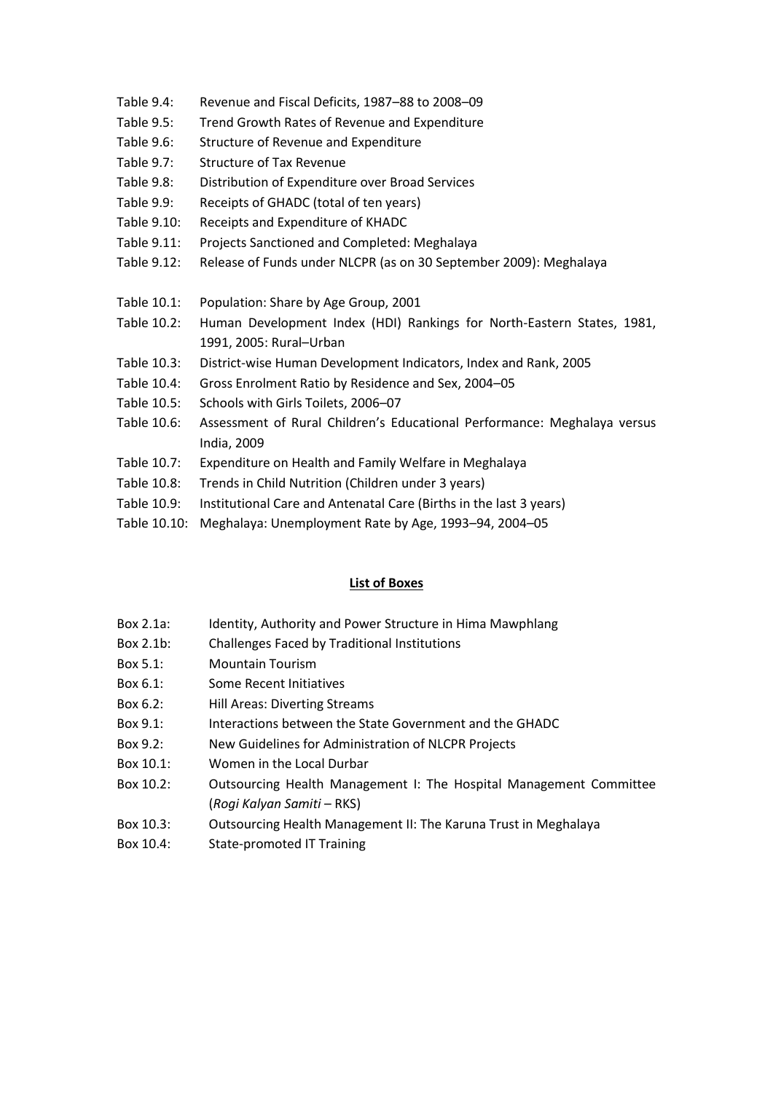- Table 9.4: Revenue and Fiscal Deficits, 1987–88 to 2008–09
- Table 9.5: Trend Growth Rates of Revenue and Expenditure
- Table 9.6: Structure of Revenue and Expenditure
- Table 9.7: Structure of Tax Revenue
- Table 9.8: Distribution of Expenditure over Broad Services
- Table 9.9: Receipts of GHADC (total of ten years)
- Table 9.10: Receipts and Expenditure of KHADC
- Table 9.11: Projects Sanctioned and Completed: Meghalaya
- Table 9.12: Release of Funds under NLCPR (as on 30 September 2009): Meghalaya
- Table 10.1: Population: Share by Age Group, 2001
- Table 10.2: Human Development Index (HDI) Rankings for North-Eastern States, 1981, 1991, 2005: Rural–Urban
- Table 10.3: District-wise Human Development Indicators, Index and Rank, 2005
- Table 10.4: Gross Enrolment Ratio by Residence and Sex, 2004–05
- Table 10.5: Schools with Girls Toilets, 2006–07
- Table 10.6: Assessment of Rural Children's Educational Performance: Meghalaya versus India, 2009
- Table 10.7: Expenditure on Health and Family Welfare in Meghalaya
- Table 10.8: Trends in Child Nutrition (Children under 3 years)
- Table 10.9: Institutional Care and Antenatal Care (Births in the last 3 years)
- Table 10.10: Meghalaya: Unemployment Rate by Age, 1993–94, 2004–05

## **List of Boxes**

- Box 2.1a: Identity, Authority and Power Structure in Hima Mawphlang
- Box 2.1b: Challenges Faced by Traditional Institutions
- Box 5.1: Mountain Tourism
- Box 6.1: Some Recent Initiatives
- Box 6.2: Hill Areas: Diverting Streams
- Box 9.1: Interactions between the State Government and the GHADC
- Box 9.2: New Guidelines for Administration of NLCPR Projects
- Box 10.1: Women in the Local Durbar
- Box 10.2: Outsourcing Health Management I: The Hospital Management Committee (*Rogi Kalyan Samiti* – RKS)
- Box 10.3: Outsourcing Health Management II: The Karuna Trust in Meghalaya
- Box 10.4: State-promoted IT Training